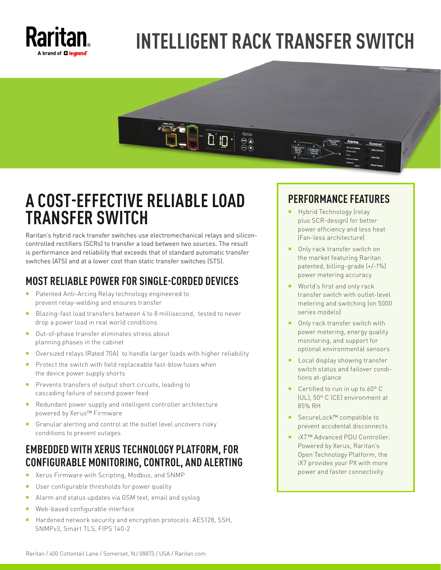

# **INTELLIGENT RACK TRANSFER SWITCH**



### **A COST-EFFECTIVE RELIABLE LOAD TRANSFER SWITCH**

Raritan's hybrid rack transfer switches use electromechanical relays and siliconcontrolled rectifiers (SCRs) to transfer a load between two sources. The result is performance and reliability that exceeds that of standard automatic transfer switches (ATS) and at a lower cost than static transfer switches (STS).

### **MOST RELIABLE POWER FOR SINGLE-CORDED DEVICES**

- **Patented Anti-Arcing Relay technology engineered to** prevent relay-welding and ensures transfer
- Blazing-fast load transfers between 4 to 8 millisecond, tested to never drop a power load in real world conditions
- Out-of-phase transfer eliminates stress about planning phases in the cabinet
- Oversized relays (Rated 70A) to handle larger loads with higher reliability
- Protect the switch with field replaceable fast-blow fuses when the device power supply shorts
- **Prevents transfers of output short circuits, leading to** cascading failure of second power feed
- Redundant power supply and intelligent controller architecture powered by Xerus™ Firmware
- Granular alerting and control at the outlet level uncovers risky conditions to prevent outages

### **EMBEDDED WITH XERUS TECHNOLOGY PLATFORM, FOR CONFIGURABLE MONITORING, CONTROL, AND ALERTING**

- Xerus Firmware with Scripting, Modbus, and SNMP
- **User configurable thresholds for power quality**
- Alarm and status updates via GSM text, email and syslog
- Web-based configurable interface
- Hardened network security and encryption protocols: AES128, SSH, SNMPv3, Smart TLS, FIPS 140-2

### **PERFORMANCE FEATURES**

- Hybrid Technology (relay plus SCR-design) for better power efficiency and less heat (Fan-less architecture)
- Only rack transfer switch on the market featuring Raritan patented, billing-grade (+/-1%) power metering accuracy
- World's first and only rack transfer switch with outlet-level metering and switching (on 5000 series models)
- Only rack transfer switch with power metering, energy quality monitoring, and support for optional environmental sensors
- **Local display showing transfer** switch status and failover conditions at-glance
- Certified to run in up to 60°C (UL), 50º C (CE) environment at 85% RH
- SecureLock™ compatible to prevent accidental disconnects
- iX7™ Advanced PDU Controller. Powered by Xerus, Raritan's Open Technology Platform, the iX7 provides your PX with more power and faster connectivity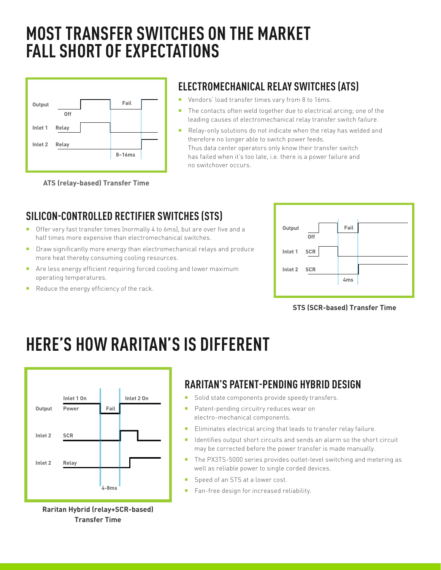## **MOST TRANSFER SWITCHES ON THE MARKET FALL SHORT OF EXPECTATIONS**



**ATS (relay-based) Transfer Time**

### **ELECTROMECHANICAL RELAY SWITCHES (ATS)**

- **•** Vendors' load transfer times vary from 8 to 16ms.
- The contacts often weld together due to electrical arcing; one of the leading causes of electromechanical relay transfer switch failure.
- Relay-only solutions do not indicate when the relay has welded and therefore no longer able to switch power feeds. Thus data center operators only know their transfer switch has failed when it's too late, i.e. there is a power failure and no switchover occurs.
- **SILICON-CONTROLLED RECTIFIER SWITCHES (STS)**
- Offer very fast transfer times (normally 4 to 6ms), but are over five and a half times more expensive than electromechanical switches.
- **Draw significantly more energy than electromechanical relays and produce** more heat thereby consuming cooling resources.
- Are less energy efficient requiring forced cooling and lower maximum operating temperatures.
- Reduce the energy efficiency of the rack.



#### **STS (SCR-based) Transfer Time**

## **HERE'S HOW RARITAN'S IS DIFFERENT**



**Raritan Hybrid (relay+SCR-based) Transfer Time**

### **RARITAN'S PATENT-PENDING HYBRID DESIGN**

- Solid state components provide speedy transfers.
- **Patent-pending circuitry reduces wear on** electro-mechanical components.
- Eliminates electrical arcing that leads to transfer relay failure.
- I Identifies output short circuits and sends an alarm so the short circuit may be corrected before the power transfer is made manually.
- The PX3TS-5000 series provides outlet-level switching and metering as well as reliable power to single corded devices.
- Speed of an STS at a lower cost.
- Fan-free design for increased reliability.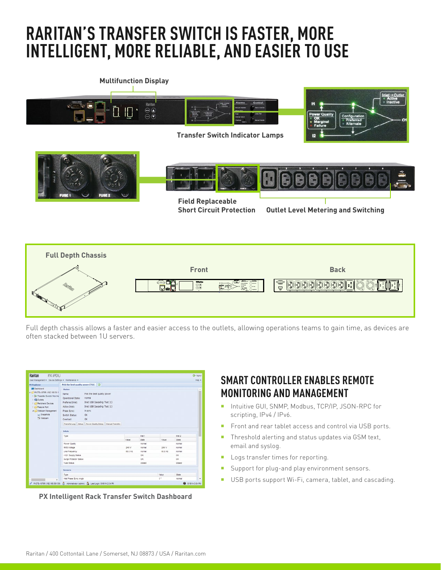## **RARITAN'S TRANSFER SWITCH IS FASTER, MORE INTELLIGENT, MORE RELIABLE, AND EASIER TO USE**



Full depth chassis allows a faster and easier access to the outlets, allowing operations teams to gain time, as devices are often stacked between 1U servers.

| <b>PX Explorer</b>                                                                                                                                                                                                | User Management . Device Settings . Maintenance .                                                                                                                                                                                                                                                                      |  |  |         |              |              |              |  |  |  |
|-------------------------------------------------------------------------------------------------------------------------------------------------------------------------------------------------------------------|------------------------------------------------------------------------------------------------------------------------------------------------------------------------------------------------------------------------------------------------------------------------------------------------------------------------|--|--|---------|--------------|--------------|--------------|--|--|--|
| <b>UNI Desnooned</b>                                                                                                                                                                                              | Pick the best quality power (TS1)<br>Status                                                                                                                                                                                                                                                                            |  |  |         |              |              |              |  |  |  |
| # (3 PX3TS-1876R (192.188.59.1)<br>1 30 Transfer Switch Pick the<br><b>GB Outlets</b><br><b>D.C. Peripheral Devices</b><br><b>D</b> C Feature Port<br>a <i>C</i> Webcam Management<br>juli Snapshots<br>No Webcam | Pick the best quality power<br>Name:<br>normal<br>Operational State:<br>Inlet USB Cascading Test (1)<br>Preferred Inlet:<br>Inlet USB Cascading Test (1)<br>Active Inlet:<br>Phase Sync:<br>in sync<br><b>OK</b><br>Switch Status:<br><b>OK</b><br>Overload:<br>Transfer Log Setup Power Quality Setup Manual Transfer |  |  |         |              |              |              |  |  |  |
|                                                                                                                                                                                                                   | Inlets                                                                                                                                                                                                                                                                                                                 |  |  |         |              |              |              |  |  |  |
|                                                                                                                                                                                                                   | $T3$ se                                                                                                                                                                                                                                                                                                                |  |  |         | Inlet 1      |              | Hat 2        |  |  |  |
|                                                                                                                                                                                                                   |                                                                                                                                                                                                                                                                                                                        |  |  | Value   | <b>State</b> | <b>Value</b> | <b>State</b> |  |  |  |
|                                                                                                                                                                                                                   | Power Quality                                                                                                                                                                                                                                                                                                          |  |  |         | normal       |              | normal       |  |  |  |
|                                                                                                                                                                                                                   | <b>RIIS Voltage</b>                                                                                                                                                                                                                                                                                                    |  |  | 349 V   | normal       | 249 V        | normal       |  |  |  |
|                                                                                                                                                                                                                   | Line Frequency                                                                                                                                                                                                                                                                                                         |  |  | 60.0 Hz | normal       | 60.0 Hz      | AAmai        |  |  |  |
|                                                                                                                                                                                                                   | +12V Supply Status                                                                                                                                                                                                                                                                                                     |  |  |         | OK           |              | OK.          |  |  |  |
|                                                                                                                                                                                                                   | Surge Protector Status                                                                                                                                                                                                                                                                                                 |  |  |         | OK           |              | OK.          |  |  |  |
|                                                                                                                                                                                                                   | Fune Status                                                                                                                                                                                                                                                                                                            |  |  |         | closed       |              | closed       |  |  |  |
|                                                                                                                                                                                                                   | Sensors                                                                                                                                                                                                                                                                                                                |  |  |         |              |              |              |  |  |  |
|                                                                                                                                                                                                                   | Type                                                                                                                                                                                                                                                                                                                   |  |  |         |              | Value        | <b>State</b> |  |  |  |
|                                                                                                                                                                                                                   | Inlet Phase Sync Angle                                                                                                                                                                                                                                                                                                 |  |  |         | $0 +$        | normal       | ٠            |  |  |  |

**PX Intelligent Rack Transfer Switch Dashboard**

#### **SMART CONTROLLER ENABLES REMOTE MONITORING AND MANAGEMENT**

- Intuitive GUI, SNMP, Modbus, TCP/IP, JSON-RPC for scripting, IPv4 / IPv6.
- Front and rear tablet access and control via USB ports.
- Threshold alerting and status updates via GSM text, email and syslog.
- **Logs transfer times for reporting.**
- **Support for plug-and play environment sensors.**
- USB ports support Wi-Fi, camera, tablet, and cascading.